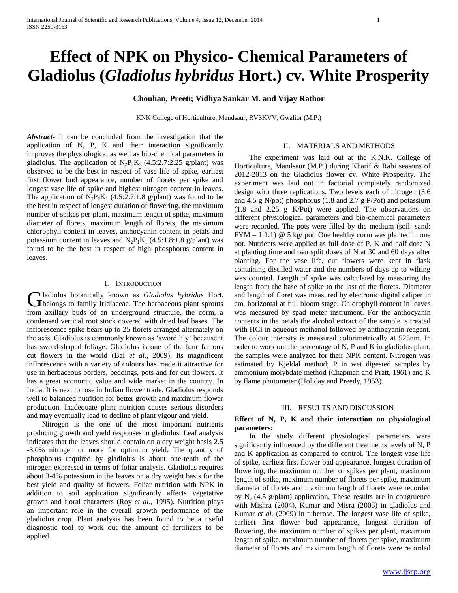# **Effect of NPK on Physico- Chemical Parameters of Gladiolus (***Gladiolus hybridus* **Hort.) cv. White Prosperity**

## **Chouhan, Preeti; Vidhya Sankar M. and Vijay Rathor**

KNK College of Horticulture, Mandsaur, RVSKVV, Gwalior (M.P.)

*Abstract***-** It can be concluded from the investigation that the application of N, P, K and their interaction significantly improves the physiological as well as bio-chemical parameters in gladiolus. The application of  $N_2P_2K_2$  (4.5:2.7:2.25 g/plant) was observed to be the best in respect of vase life of spike, earliest first flower bud appearance, number of florets per spike and longest vase life of spike and highest nitrogen content in leaves. The application of  $N_2P_2K_1$  (4.5:2.7:1.8 g/plant) was found to be the best in respect of longest duration of flowering, the maximum number of spikes per plant, maximum length of spike, maximum diameter of florets, maximum length of florets, the maximum chlorophyll content in leaves, anthocyanin content in petals and potassium content in leaves and  $N_2P_1K_1$  (4.5:1.8:1.8 g/plant) was found to be the best in respect of high phosphorus content in leaves.

## I. INTRODUCTION

ladiolus botanically known as *Gladiolus hybridus* Hort. **C** ladiolus botanically known as *Gladiolus hybridus* Hort.<br> **G** belongs to family Iridiaceae. The herbaceous plant sprouts from axillary buds of an underground structure, the corm, a condensed vertical root stock covered with dried leaf bases. The inflorescence spike bears up to 25 florets arranged alternately on the axis. Gladiolus is commonly known as 'sword lily' because it has sword-shaped foliage. Gladiolus is one of the four famous cut flowers in the world (Bai *et al.*, 2009). Its magnificent inflorescence with a variety of colours has made it attractive for use in herbaceous borders, beddings, pots and for cut flowers. It has a great economic value and wide market in the country. In India, It is next to rose in Indian flower trade. Gladiolus responds well to balanced nutrition for better growth and maximum flower production. Inadequate plant nutrition causes serious disorders and may eventually lead to decline of plant vigour and yield.

 Nitrogen is the one of the most important nutrients producing growth and yield responses in gladiolus. Leaf analysis indicates that the leaves should contain on a dry weight basis 2.5 -3.0% nitrogen or more for optimum yield. The quantity of phosphorus required by gladiolus is about one-tenth of the nitrogen expressed in terms of foliar analysis. Gladiolus requires about 3-4% potassium in the leaves on a dry weight basis for the best yield and quality of flowers. Foliar nutrition with NPK in addition to soil application significantly affects vegetative growth and floral characters (Roy *et al.,* 1995). Nutrition plays an important role in the overall growth performance of the gladiolus crop. Plant analysis has been found to be a useful diagnostic tool to work out the amount of fertilizers to be applied.

#### II. MATERIALS AND METHODS

 The experiment was laid out at the K.N.K. College of Horticulture, Mandsaur (M.P.) during Kharif & Rabi seasons of 2012-2013 on the Gladiolus flower cv. White Prosperity. The experiment was laid out in factorial completely randomized design with three replications. Two levels each of nitrogen (3.6 and 4.5 g N/pot) phosphorus (1.8 and 2.7 g P/Pot) and potassium (1.8 and 2.25 g K/Pot) were applied. The observations on different physiological parameters and bio-chemical parameters were recorded. The pots were filled by the medium (soil: sand:  $FYM - 1:1:1$ ) @ 5 kg/ pot. One healthy corm was planted in one pot. Nutrients were applied as full dose of P, K and half dose N at planting time and two split doses of N at 30 and 60 days after planting. For the vase life, cut flowers were kept in flask containing distilled water and the numbers of days up to wilting was counted. Length of spike was calculated by measuring the length from the base of spike to the last of the florets. Diameter and length of floret was measured by electronic digital caliper in cm, horizontal at full bloom stage. Chlorophyll content in leaves was measured by spad meter instrument. For the anthocyanin contents in the petals the alcohol extract of the sample is treated with HCI in aqueous methanol followed by anthocyanin reagent. The colour intensity is measured colorimetrically at 525nm. In order to work out the percentage of N, P and K in gladiolus plant, the samples were analyzed for their NPK content. Nitrogen was estimated by Kjeldal method; P in wet digested samples by ammonium molybdate method (Chapman and Pratt, 1961) and K by flame photometer (Holiday and Preedy, 1953).

#### III. RESULTS AND DISCUSSION

## **Effect of N, P, K and their interaction on physiological parameters:**

 In the study different physiological parameters were significantly influenced by the different treatments levels of N, P and K application as compared to control. The longest vase life of spike, earliest first flower bud appearance, longest duration of flowering, the maximum number of spikes per plant, maximum length of spike, maximum number of florets per spike, maximum diameter of florets and maximum length of florets were recorded by  $N_2$ ,(4.5 g/plant) application. These results are in congruence with Mishra (2004), Kumar and Misra (2003) in gladiolus and Kumar *et al.* (2009) in tuberose. The longest vase life of spike, earliest first flower bud appearance, longest duration of flowering, the maximum number of spikes per plant, maximum length of spike, maximum number of florets per spike, maximum diameter of florets and maximum length of florets were recorded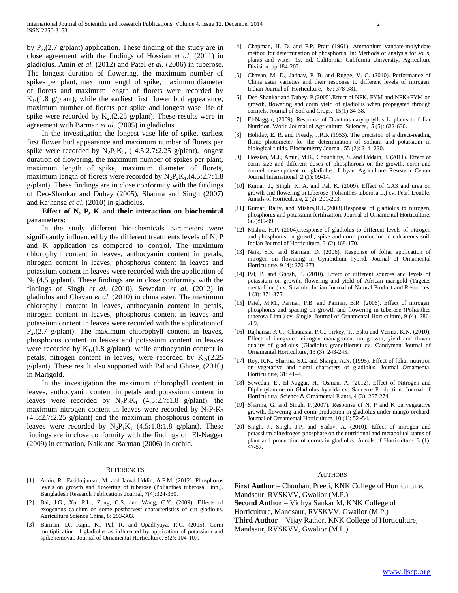by  $P_2$ , (2.7 g/plant) application. These finding of the study are in close agreement with the findings of Hossian *et al*. (2011) in gladiolus. Amin *et al.* (2012) and Patel *et al.* (2006) in tuberose. The longest duration of flowering, the maximum number of spikes per plant, maximum length of spike, maximum diameter of florets and maximum length of florets were recorded by  $K_1$ , (1.8 g/plant), while the earliest first flower bud appearance, maximum number of florets per spike and longest vase life of spike were recorded by  $K_2$ , (2.25 g/plant). These results were in agreement with Barman *et al*. (2005) in gladiolus.

 In the investigation the longest vase life of spike, earliest first flower bud appearance and maximum number of florets per spike were recorded by  $N_2P_2K_2$ , (4.5:2.7**:**2.25 g/plant), longest duration of flowering, the maximum number of spikes per plant, maximum length of spike, maximum diameter of florets, maximum length of florets were recorded by  $N_2P_2K_1$ , (4.5:2.7**:**1.8) g/plant). These findings are in close conformity with the findings of Deo-Shankar and Dubey (2005), Sharma and Singh (2007) and Rajhansa *et al.* (2010) in gladiolus.

## **Effect of N, P, K and their interaction on biochemical parameters:**

 In the study different bio-chemicals parameters were significantly influenced by the different treatments levels of N, P and K application as compared to control. The maximum chlorophyll content in leaves, anthocyanin content in petals, nitrogen content in leaves, phosphorus content in leaves and potassium content in leaves were recorded with the application of  $N_2$  (4.5 g/plant). These findings are in close conformity with the findings of Singh *et al.* (2010), Sewedan *et al.* (2012) in gladiolus and Chavan *et al*. (2010) in china aster. The maximum chlorophyll content in leaves, anthocyanin content in petals, nitrogen content in leaves, phosphorus content in leaves and potassium content in leaves were recorded with the application of  $P<sub>2</sub>(2.7 g/plant)$ . The maximum chlorophyll content in leaves, phosphorus content in leaves and potassium content in leaves were recorded by  $K_1$ , (1.8 g/plant), while anthocyanin content in petals, nitrogen content in leaves, were recorded by  $K_2$ , (2.25) g/plant). These result also supported with Pal and Ghose, (2010) in Marigold.

 In the investigation the maximum chlorophyll content in leaves, anthocyanin content in petals and potassium content in leaves were recorded by  $N_2P_2K_1$  (4.5**:**2.7**:**1.8 g/plant), the maximum nitrogen content in leaves were recorded by  $N_2P_2K_2$ (4.5**:**2.7**:**2.25 g/plant) and the maximum phosphorus content in leaves were recorded by  $N_2P_1K_1$  (4.5**:**1.8**:**1.8 g/plant). These findings are in close conformity with the findings of El-Naggar (2009) in carnation, Naik and Barman (2006) in orchid.

#### **REFERENCES**

- [1] Amin, R., Faridujjaman, M. and Jamal Uddin, A.F.M. (2012). Phosphorus levels on growth and flowering of tuberose (Polianthes tuberosa Linn.). Bangladesh Research Publications Journal, 7(4):324-330.
- [2] Bai, J.G., Xu, P.L., Zong, C.S. and Wang, C.Y. (2009). Effects of exogenous calcium on some postharvest characteristics of cut gladiolus. Agriculture Science China, 8: 293-303.
- [3] Barman, D., Rajni, K., Pal, R. and Upadhyaya, R.C. (2005). Corm multiplication of gladiolus as influenced by application of potassium and spike removal. Journal of Ornamental Horticulture, 8(2): 104-107.
- [4] Chapman, H. D. and F.P. Pratt (1961). Ammonium vandate-molybdate method for determination of phosphorus. In: Methods of analysis for soils, plants and water. 1st Ed. California: California University, Agriculture Division, pp 184-203.
- [5] Chavan, M. D., Jadhav, P. B. and Rugge, V. C. (2010). Performance of China aster varieties and their response to different levels of nitrogen. Indian Journal of Horticulture, 67: 378-381.
- [6] Deo-Shankar and Dubey, P.(2005).Effect of NPK, FYM and NPK+FYM on growth, flowering and corm yield of gladiolus when propagated through cormels. Journal of Soil and Crops, 15(1):34-38.
- [7] El-Naggar, (2009). Response of Dianthus caryophyllus L. plants to foliar Nutrition. World Journal of Agricultural Sciences, 5 (5): 622-630.
- [8] Holiday, E. R. and Preedy, J.R.K.(1953). The precision of a direct-reading flame photometer for the determination of sodium and potassium in biological fluids. Biochemistry Journal, 55 (2): 214–220.
- [9] Hossian, M.J., Amin, M.R., Choudhury, S. and Uddain, J. (2011). Effect of corm size and different doses of phosphorous on the growth, corm and cormel development of gladiolus. Libyan Agriculture Research Center Journal International, 2 (1): 09-14.
- [10] Kumar, J., Singh, K. A. and Pal, K. (2009). Effect of GA3 and urea on growth and flowering in tuberose (Polianthes tuberosa L.) cv. Pearl Double. Annals of Horticulture, 2 (2): 201-203.
- [11] Kumar, Rajiv, and Mishra, R.L. (2003). Response of gladiolus to nitrogen, phosphorus and potassium fertilization. Journal of Ornamental Horticulture, 6(2):95-99.
- [12] Mishra, H.P. (2004).Response of gladiolus to different levels of nitrogen and phosphorus on growth, spike and corm production in calcareous soil. Indian Journal of Horticulture, 61(2):168-170.
- [13] Naik, S.K, and Barman, D. (2006). Response of foliar application of nitrogen on flowering in Cymbidium hybrid. Journal of Ornamental Horticulture, 9 (4): 270-273.
- [14] Pal, P. and Ghosh, P. (2010). Effect of different sources and levels of potassium on growth, flowering and yield of African marigold (Tagetes erecta Linn.) cv. Siracole. Indian Journal of Natural Product and Resources, 1 (3): 371-375.
- [15] Patel, M.M., Parmar, P.B. and Parmar, B.R. (2006). Effect of nitrogen, phosphorus and spacing on growth and flowering in tuberose (Polianthes tuberosa Linn.) cv. Single. Journal of Ornamental Horticulture, 9 (4): 286- 289,
- [16] Rajhansa, K.C., Chaurasia, P.C., Tirkey, T., Eshu and Verma, K.N. (2010), Effect of integrated nitrogen management on growth, yield and flower quality of gladiolus (Gladiolus grandiflorus) cv. Candyman Journal of Ornamental Horticulture, 13 (3): 243-245.
- [17] Roy, R.K., Sharma, S.C. and Sharga, A.N. (1995). Effect of foliar nutrition on vegetative and floral characters of gladiolus. Journal Ornamental Horticulture, 31: 41–4.
- [18] Sewedan, E., El-Naggar, H., Osman, A. (2012). Effect of Nitrogen and Diphenylamine on Gladiolus hybrida cv. Sancerre Production. Journal of Horticultural Science & Ornamental Plants, 4 (3): 267-274.
- [19] Sharma, G. and Singh, P.(2007). Response of N, P and K on vegetative growth, flowering and corm production in gladiolus under mango orchard. Journal of Ornamental Horticulture, 10 (1): 52~54.
- [20] Singh, J., Singh, J.P. and Yadav, A. (2010). Effect of nitrogen and potassium dihydrogen phosphate on the nutritional and metabolital status of plant and production of corms in gladiolus. Annals of Horticulture, 3 (1): 47-57.

#### AUTHORS

**First Author** – Chouhan, Preeti, KNK College of Horticulture, Mandsaur, RVSKVV, Gwalior (M.P.)

**Second Author** – Vidhya Sankar M, KNK College of

Horticulture, Mandsaur, RVSKVV, Gwalior (M.P.)

**Third Author** – Vijay Rathor, KNK College of Horticulture,

Mandsaur, RVSKVV, Gwalior (M.P.)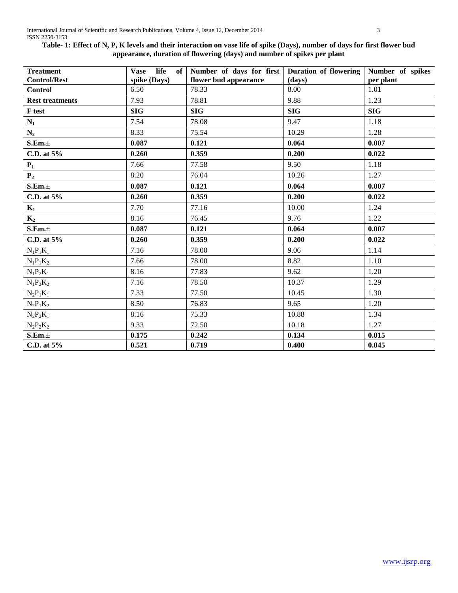# **Table- 1: Effect of N, P, K levels and their interaction on vase life of spike (Days), number of days for first flower bud appearance, duration of flowering (days) and number of spikes per plant**

| <b>Treatment</b>       | life<br>Vase | of Number of days for first Duration of flowering Number of spikes |            |            |
|------------------------|--------------|--------------------------------------------------------------------|------------|------------|
| <b>Control/Rest</b>    | spike (Days) | flower bud appearance                                              | (days)     | per plant  |
| <b>Control</b>         | 6.50         | 78.33                                                              | 8.00       | 1.01       |
| <b>Rest treatments</b> | 7.93         | 78.81                                                              | 9.88       | 1.23       |
| F test                 | <b>SIG</b>   | <b>SIG</b>                                                         | <b>SIG</b> | <b>SIG</b> |
| $N_1$                  | 7.54         | 78.08                                                              | 9.47       | 1.18       |
| $N_2$                  | 8.33         | 75.54                                                              | 10.29      | 1.28       |
| S.Em.±                 | 0.087        | 0.121                                                              | 0.064      | 0.007      |
| C.D. at 5%             | 0.260        | 0.359                                                              | 0.200      | 0.022      |
| $P_1$                  | 7.66         | 77.58                                                              | 9.50       | 1.18       |
| P <sub>2</sub>         | 8.20         | 76.04                                                              | 10.26      | 1.27       |
| S.Em.±                 | 0.087        | 0.121                                                              | 0.064      | 0.007      |
| C.D. at 5%             | 0.260        | 0.359                                                              | 0.200      | 0.022      |
| $K_1$                  | 7.70         | 77.16                                                              | 10.00      | 1.24       |
| $K_2$                  | 8.16         | 76.45                                                              | 9.76       | 1.22       |
| S.Em.±                 | 0.087        | 0.121                                                              | 0.064      | 0.007      |
| C.D. at 5%             | 0.260        | 0.359                                                              | 0.200      | 0.022      |
| $N_1P_1K_1$            | 7.16         | 78.00                                                              | 9.06       | 1.14       |
| $N_1P_1K_2$            | 7.66         | 78.00                                                              | 8.82       | 1.10       |
| $N_1P_2K_1$            | 8.16         | 77.83                                                              | 9.62       | 1.20       |
| $N_1P_2K_2$            | 7.16         | 78.50                                                              | 10.37      | 1.29       |
| $N_2P_1K_1$            | 7.33         | 77.50                                                              | 10.45      | 1.30       |
| $N_2P_1K_2$            | 8.50         | 76.83                                                              | 9.65       | 1.20       |
| $N_2P_2K_1$            | 8.16         | 75.33                                                              | 10.88      | 1.34       |
| $N_2P_2K_2$            | 9.33         | 72.50                                                              | 10.18      | 1.27       |
| S.Em.±                 | 0.175        | 0.242                                                              | 0.134      | 0.015      |
| C.D. at 5%             | 0.521        | 0.719                                                              | 0.400      | 0.045      |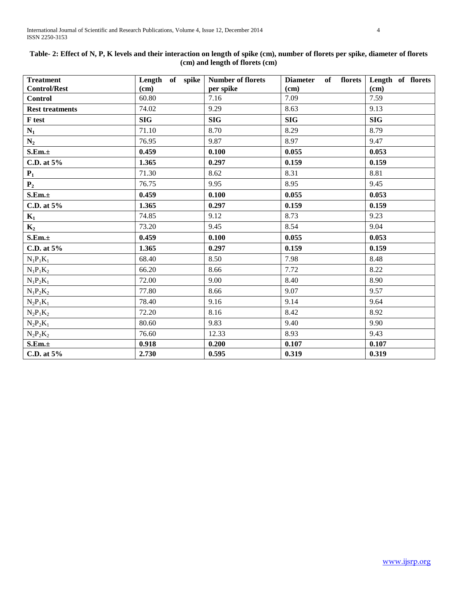| <b>Treatment</b>       | Length of spike | <b>Number of florets</b> | <b>Diameter</b><br>of florets | Length of florets |
|------------------------|-----------------|--------------------------|-------------------------------|-------------------|
| <b>Control/Rest</b>    | (cm)            | per spike                | (cm)                          | (cm)              |
| <b>Control</b>         | 60.80           | 7.16                     | 7.09                          | 7.59              |
| <b>Rest treatments</b> | 74.02           | 9.29                     | 8.63                          | 9.13              |
| F test                 | <b>SIG</b>      | <b>SIG</b>               | <b>SIG</b>                    | <b>SIG</b>        |
| $N_1$                  | 71.10           | 8.70                     | 8.29                          | 8.79              |
| $N_2$                  | 76.95           | 9.87                     | 8.97                          | 9.47              |
| S.Em.±                 | 0.459           | 0.100                    | 0.055                         | 0.053             |
| C.D. at 5%             | 1.365           | 0.297                    | 0.159                         | 0.159             |
| $P_1$                  | 71.30           | 8.62                     | 8.31                          | 8.81              |
| P <sub>2</sub>         | 76.75           | 9.95                     | 8.95                          | 9.45              |
| S.Em.±                 | 0.459           | 0.100                    | 0.055                         | 0.053             |
| C.D. at $5%$           | 1.365           | 0.297                    | 0.159                         | 0.159             |
| $K_1$                  | 74.85           | 9.12                     | 8.73                          | 9.23              |
| $K_2$                  | 73.20           | 9.45                     | 8.54                          | 9.04              |
| S.Em.±                 | 0.459           | 0.100                    | 0.055                         | 0.053             |
| C.D. at 5%             | 1.365           | 0.297                    | 0.159                         | 0.159             |
| $N_1P_1K_1$            | 68.40           | 8.50                     | 7.98                          | 8.48              |
| $N_1P_1K_2$            | 66.20           | 8.66                     | 7.72                          | 8.22              |
| $N_1P_2K_1$            | 72.00           | 9.00                     | 8.40                          | 8.90              |
| $N_1P_2K_2$            | 77.80           | 8.66                     | 9.07                          | 9.57              |
| $N_2P_1K_1$            | 78.40           | 9.16                     | 9.14                          | 9.64              |
| $N_2P_1K_2$            | 72.20           | 8.16                     | 8.42                          | 8.92              |
| $N_2P_2K_1$            | 80.60           | 9.83                     | 9.40                          | 9.90              |
| $N_2P_2K_2$            | 76.60           | 12.33                    | 8.93                          | 9.43              |
| S.Em.±                 | 0.918           | 0.200                    | 0.107                         | 0.107             |
| C.D. at 5%             | 2.730           | 0.595                    | 0.319                         | 0.319             |

# **Table- 2: Effect of N, P, K levels and their interaction on length of spike (cm), number of florets per spike, diameter of florets (cm) and length of florets (cm)**